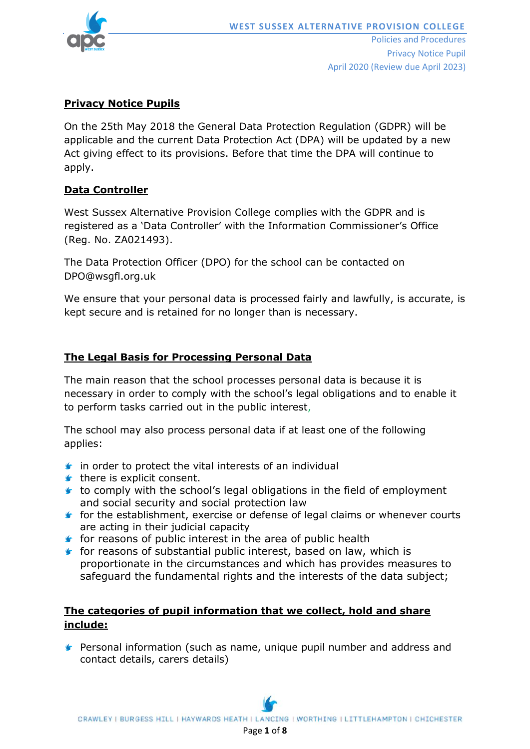

# **Privacy Notice Pupils**

On the 25th May 2018 the General Data Protection Regulation (GDPR) will be applicable and the current Data Protection Act (DPA) will be updated by a new Act giving effect to its provisions. Before that time the DPA will continue to apply.

## **Data Controller**

West Sussex Alternative Provision College complies with the GDPR and is registered as a 'Data Controller' with the Information Commissioner's Office (Reg. No. ZA021493).

The Data Protection Officer (DPO) for the school can be contacted on DPO@wsgfl.org.uk

We ensure that your personal data is processed fairly and lawfully, is accurate, is kept secure and is retained for no longer than is necessary.

# **The Legal Basis for Processing Personal Data**

The main reason that the school processes personal data is because it is necessary in order to comply with the school's legal obligations and to enable it to perform tasks carried out in the public interest,

The school may also process personal data if at least one of the following applies:

- $\bullet$  in order to protect the vital interests of an individual
- $\blacktriangleright$  there is explicit consent.
- $\bullet$  to comply with the school's legal obligations in the field of employment and social security and social protection law
- **f** for the establishment, exercise or defense of legal claims or whenever courts are acting in their judicial capacity
- $\mathbf f$  for reasons of public interest in the area of public health
- $\mathbf f$  for reasons of substantial public interest, based on law, which is proportionate in the circumstances and which has provides measures to safeguard the fundamental rights and the interests of the data subject;

# **The categories of pupil information that we collect, hold and share include:**

**F** Personal information (such as name, unique pupil number and address and contact details, carers details)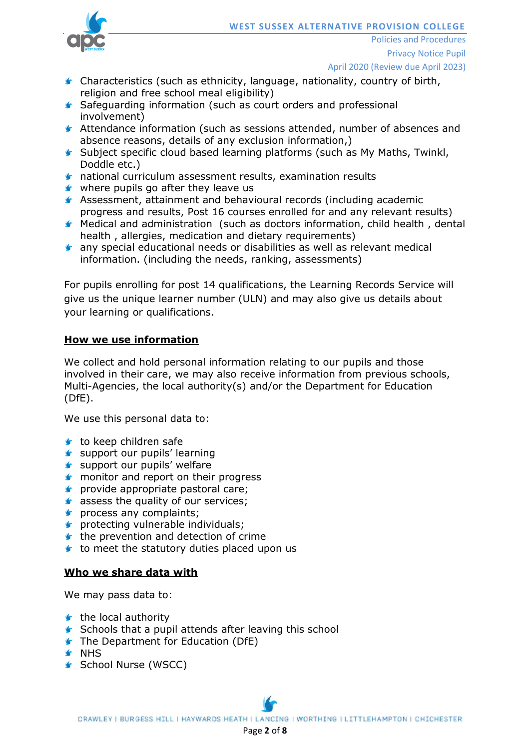

Policies and Procedures Privacy Notice Pupil April 2020 (Review due April 2023)

- Characteristics (such as ethnicity, language, nationality, country of birth, religion and free school meal eligibility)
- **Safeguarding information (such as court orders and professional** involvement)
- Attendance information (such as sessions attended, number of absences and absence reasons, details of any exclusion information,)
- Subject specific cloud based learning platforms (such as My Maths, Twinkl, Doddle etc.)
- national curriculum assessment results, examination results
- $\blacktriangleright$  where pupils go after they leave us
- Assessment, attainment and behavioural records (including academic progress and results, Post 16 courses enrolled for and any relevant results)
- Medical and administration (such as doctors information, child health , dental health , allergies, medication and dietary requirements)
- **s** any special educational needs or disabilities as well as relevant medical information. (including the needs, ranking, assessments)

For pupils enrolling for post 14 qualifications, the Learning Records Service will give us the unique learner number (ULN) and may also give us details about your learning or qualifications.

## **How we use information**

We collect and hold personal information relating to our pupils and those involved in their care, we may also receive information from previous schools, Multi-Agencies, the local authority(s) and/or the Department for Education (DfE).

We use this personal data to:

- $\bullet$  to keep children safe
- support our pupils' learning
- support our pupils' welfare
- **f** monitor and report on their progress
- **s** provide appropriate pastoral care;
- star-assess the quality of our services;
- **s** process any complaints;
- **s** protecting vulnerable individuals;
- $\blacktriangleright$  the prevention and detection of crime
- $\bullet$  to meet the statutory duties placed upon us

#### **Who we share data with**

We may pass data to:

- $\mathbf$  the local authority
- **Schools that a pupil attends after leaving this school**
- **The Department for Education (DfE)**
- **G** NHS
- **School Nurse (WSCC)**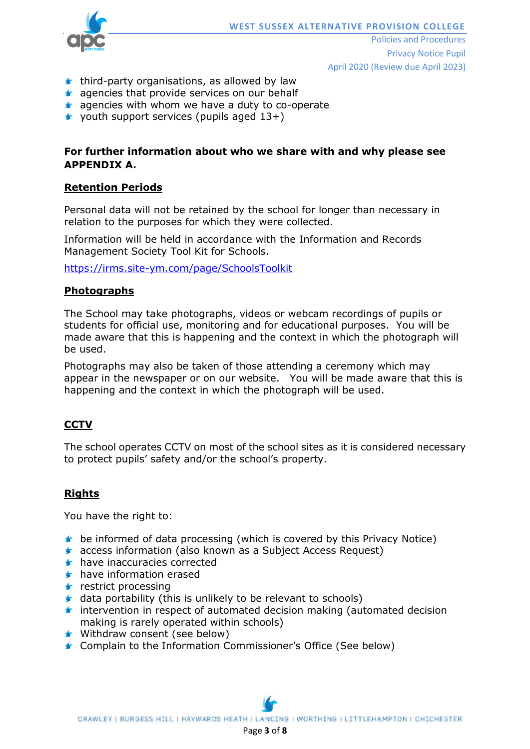

Policies and Procedures Privacy Notice Pupil April 2020 (Review due April 2023)

- $\bullet$  third-party organisations, as allowed by law
- **G** agencies that provide services on our behalf
- **G** agencies with whom we have a duty to co-operate
- $\blacktriangleright$  vouth support services (pupils aged 13+)

# **For further information about who we share with and why please see APPENDIX A.**

#### **Retention Periods**

Personal data will not be retained by the school for longer than necessary in relation to the purposes for which they were collected.

Information will be held in accordance with the Information and Records Management Society Tool Kit for Schools.

<https://irms.site-ym.com/page/SchoolsToolkit>

#### **Photographs**

The School may take photographs, videos or webcam recordings of pupils or students for official use, monitoring and for educational purposes. You will be made aware that this is happening and the context in which the photograph will be used.

Photographs may also be taken of those attending a ceremony which may appear in the newspaper or on our website. You will be made aware that this is happening and the context in which the photograph will be used.

## **CCTV**

The school operates CCTV on most of the school sites as it is considered necessary to protect pupils' safety and/or the school's property.

#### **Rights**

You have the right to:

- **b** be informed of data processing (which is covered by this Privacy Notice)
- **G** access information (also known as a Subject Access Request)
- **have inaccuracies corrected**
- **have information erased**
- $\mathbf{\mathsf{r}}$  restrict processing
- $\bullet$  data portability (this is unlikely to be relevant to schools)
- $\blacktriangleright$  intervention in respect of automated decision making (automated decision making is rarely operated within schools)
- Withdraw consent (see below)
- **Complain to the Information Commissioner's Office (See below)**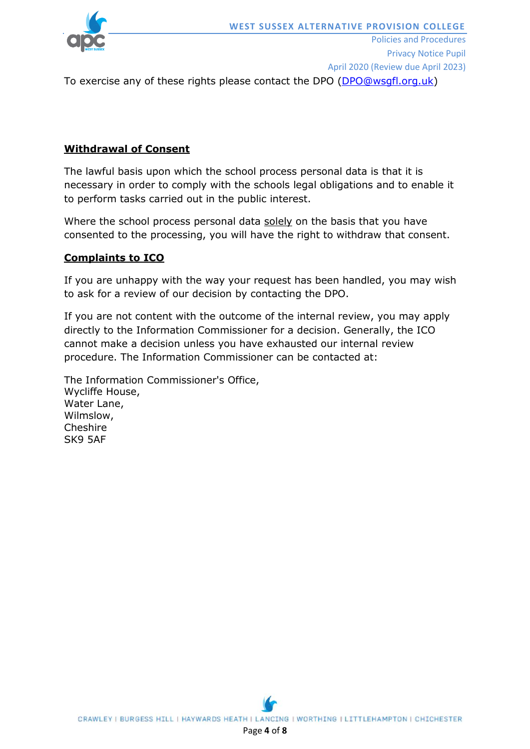

To exercise any of these rights please contact the DPO [\(DPO@wsgfl.org.uk\)](mailto:DPO@wsgfl.org.uk)

# **Withdrawal of Consent**

The lawful basis upon which the school process personal data is that it is necessary in order to comply with the schools legal obligations and to enable it to perform tasks carried out in the public interest.

Where the school process personal data solely on the basis that you have consented to the processing, you will have the right to withdraw that consent.

# **Complaints to ICO**

If you are unhappy with the way your request has been handled, you may wish to ask for a review of our decision by contacting the DPO.

If you are not content with the outcome of the internal review, you may apply directly to the Information Commissioner for a decision. Generally, the ICO cannot make a decision unless you have exhausted our internal review procedure. The Information Commissioner can be contacted at:

The Information Commissioner's Office, Wycliffe House, Water Lane, Wilmslow, Cheshire SK9 5AF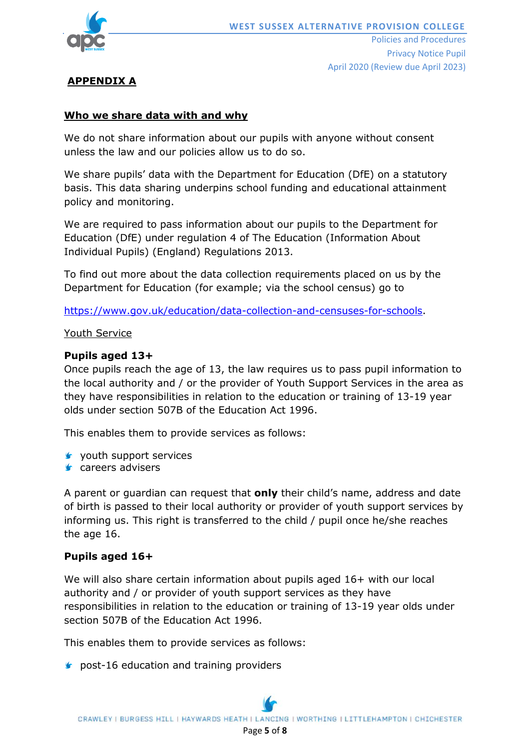

# **APPENDIX A**

# **Who we share data with and why**

We do not share information about our pupils with anyone without consent unless the law and our policies allow us to do so.

We share pupils' data with the Department for Education (DfE) on a statutory basis. This data sharing underpins school funding and educational attainment policy and monitoring.

We are required to pass information about our pupils to the Department for Education (DfE) under regulation 4 of The Education (Information About Individual Pupils) (England) Regulations 2013.

To find out more about the data collection requirements placed on us by the Department for Education (for example; via the school census) go to

[https://www.gov.uk/education/data-collection-and-censuses-for-schools.](https://www.gov.uk/education/data-collection-and-censuses-for-schools)

#### Youth Service

#### **Pupils aged 13+**

Once pupils reach the age of 13, the law requires us to pass pupil information to the local authority and / or the provider of Youth Support Services in the area as they have responsibilities in relation to the education or training of 13-19 year olds under section 507B of the Education Act 1996.

This enables them to provide services as follows:

- $\triangleright$  youth support services
- **s** careers advisers

A parent or guardian can request that **only** their child's name, address and date of birth is passed to their local authority or provider of youth support services by informing us. This right is transferred to the child / pupil once he/she reaches the age 16.

## **Pupils aged 16+**

We will also share certain information about pupils aged 16+ with our local authority and / or provider of youth support services as they have responsibilities in relation to the education or training of 13-19 year olds under section 507B of the Education Act 1996.

This enables them to provide services as follows:

**s** post-16 education and training providers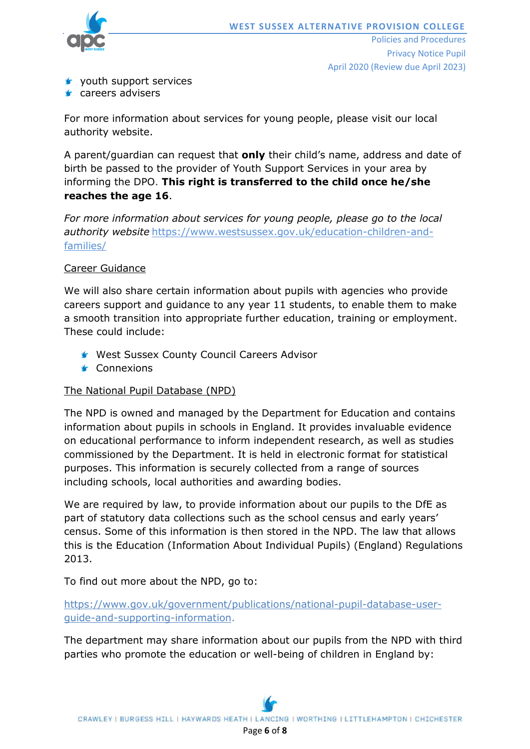

- **v** youth support services
- **s** careers advisers

For more information about services for young people, please visit our local authority website.

A parent/guardian can request that **only** their child's name, address and date of birth be passed to the provider of Youth Support Services in your area by informing the DPO. **This right is transferred to the child once he/she reaches the age 16**.

*For more information about services for young people, please go to the local authority website* [https://www.westsussex.gov.uk/education-children-and](https://www.westsussex.gov.uk/education-children-and-families/)[families/](https://www.westsussex.gov.uk/education-children-and-families/)

# Career Guidance

We will also share certain information about pupils with agencies who provide careers support and guidance to any year 11 students, to enable them to make a smooth transition into appropriate further education, training or employment. These could include:

- West Sussex County Council Careers Advisor
- **S** Connexions

## The National Pupil Database (NPD)

The NPD is owned and managed by the Department for Education and contains information about pupils in schools in England. It provides invaluable evidence on educational performance to inform independent research, as well as studies commissioned by the Department. It is held in electronic format for statistical purposes. This information is securely collected from a range of sources including schools, local authorities and awarding bodies.

We are required by law, to provide information about our pupils to the DfE as part of statutory data collections such as the school census and early years' census. Some of this information is then stored in the NPD. The law that allows this is the Education (Information About Individual Pupils) (England) Regulations 2013.

To find out more about the NPD, go to:

[https://www.gov.uk/government/publications/national-pupil-database-user](https://www.gov.uk/government/publications/national-pupil-database-user-guide-and-supporting-information)[guide-and-supporting-information.](https://www.gov.uk/government/publications/national-pupil-database-user-guide-and-supporting-information)

The department may share information about our pupils from the NPD with third parties who promote the education or well-being of children in England by: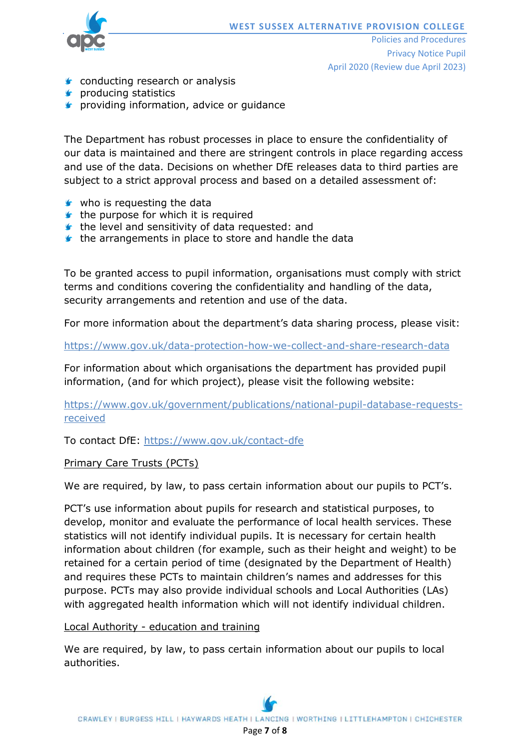

Policies and Procedures Privacy Notice Pupil April 2020 (Review due April 2023)

- **Conducting research or analysis**
- **s** producing statistics
- **s** providing information, advice or guidance

The Department has robust processes in place to ensure the confidentiality of our data is maintained and there are stringent controls in place regarding access and use of the data. Decisions on whether DfE releases data to third parties are subject to a strict approval process and based on a detailed assessment of:

- who is requesting the data
- $\bullet$  the purpose for which it is required
- $\bullet$  the level and sensitivity of data requested: and
- $\blacktriangleright$  the arrangements in place to store and handle the data

To be granted access to pupil information, organisations must comply with strict terms and conditions covering the confidentiality and handling of the data, security arrangements and retention and use of the data.

For more information about the department's data sharing process, please visit:

<https://www.gov.uk/data-protection-how-we-collect-and-share-research-data>

For information about which organisations the department has provided pupil information, (and for which project), please visit the following website:

[https://www.gov.uk/government/publications/national-pupil-database-requests](https://www.gov.uk/government/publications/national-pupil-database-requests-received)[received](https://www.gov.uk/government/publications/national-pupil-database-requests-received)

To contact DfE:<https://www.gov.uk/contact-dfe>

#### Primary Care Trusts (PCTs)

We are required, by law, to pass certain information about our pupils to PCT's.

PCT's use information about pupils for research and statistical purposes, to develop, monitor and evaluate the performance of local health services. These statistics will not identify individual pupils. It is necessary for certain health information about children (for example, such as their height and weight) to be retained for a certain period of time (designated by the Department of Health) and requires these PCTs to maintain children's names and addresses for this purpose. PCTs may also provide individual schools and Local Authorities (LAs) with aggregated health information which will not identify individual children.

Local Authority - education and training

We are required, by law, to pass certain information about our pupils to local authorities.